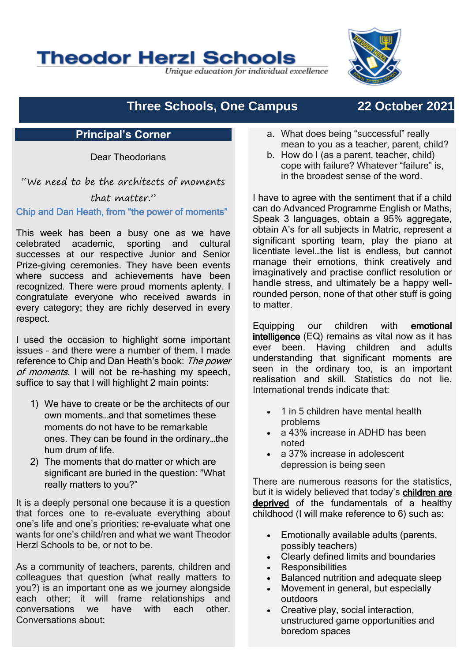**Theodor Herzl Schools** 

Unique education for individual excellence

# **Three Schools, One Campus 22 October 2021**

## **Principal's Corner**

Dear Theodorians

"We need to be the architects of moments

### that matter."

#### Chip and Dan Heath, from "the power of moments"

This week has been a busy one as we have celebrated academic, sporting and cultural successes at our respective Junior and Senior Prize-giving ceremonies. They have been events where success and achievements have been recognized. There were proud moments aplenty. I congratulate everyone who received awards in every category; they are richly deserved in every respect.

I used the occasion to highlight some important issues – and there were a number of them. I made reference to Chip and Dan Heath's book: The power of moments. I will not be re-hashing my speech, suffice to say that I will highlight 2 main points:

- 1) We have to create or be the architects of our own moments…and that sometimes these moments do not have to be remarkable ones. They can be found in the ordinary…the hum drum of life.
- 2) The moments that do matter or which are significant are buried in the question: "What really matters to you?"

It is a deeply personal one because it is a question that forces one to re-evaluate everything about one's life and one's priorities; re-evaluate what one wants for one's child/ren and what we want Theodor Herzl Schools to be, or not to be.

As a community of teachers, parents, children and colleagues that question (what really matters to you?) is an important one as we journey alongside each other; it will frame relationships and conversations we have with each other. Conversations about:

- a. What does being "successful" really mean to you as a teacher, parent, child?
- b. How do I (as a parent, teacher, child) cope with failure? Whatever "failure" is, in the broadest sense of the word.

I have to agree with the sentiment that if a child can do Advanced Programme English or Maths, Speak 3 languages, obtain a 95% aggregate, obtain A's for all subjects in Matric, represent a significant sporting team, play the piano at licentiate level…the list is endless, but cannot manage their emotions, think creatively and imaginatively and practise conflict resolution or handle stress, and ultimately be a happy wellrounded person, none of that other stuff is going to matter.

Equipping our children with emotional intelligence (EQ) remains as vital now as it has ever been. Having children and adults understanding that significant moments are seen in the ordinary too, is an important realisation and skill. Statistics do not lie. International trends indicate that:

- 1 in 5 children have mental health problems
- a 43% increase in ADHD has been noted
- a 37% increase in adolescent depression is being seen

There are numerous reasons for the statistics but it is widely believed that today's children are deprived of the fundamentals of a healthy childhood (I will make reference to 6) such as:

- Emotionally available adults (parents, possibly teachers)
- Clearly defined limits and boundaries
- **Responsibilities**
- Balanced nutrition and adequate sleep
- Movement in general, but especially outdoors
- Creative play, social interaction, unstructured game opportunities and boredom spaces

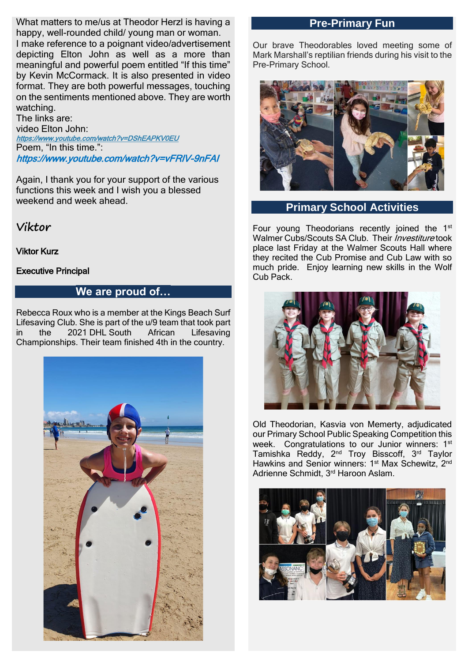What matters to me/us at Theodor Herzl is having a happy, well-rounded child/ young man or woman. I make reference to a poignant video/advertisement depicting Elton John as well as a more than meaningful and powerful poem entitled "If this time" by Kevin McCormack. It is also presented in video format. They are both powerful messages, touching on the sentiments mentioned above. They are worth watching.

The links are: video Elton John: <https://www.youtube.com/watch?v=DShEAPKV0EU> Poem, "In this time.": https://www.youtube.com/watch?v=vFRlV-9nFAI

Again, I thank you for your support of the various functions this week and I wish you a blessed weekend and week ahead.

**Viktor**

Viktor Kurz

Executive Principal

## **We are proud of…**

Rebecca Roux who is a member at the Kings Beach Surf Lifesaving Club. She is part of the u/9 team that took part in the 2021 DHL South African Lifesaving Championships. Their team finished 4th in the country.



## **Pre-Primary Fun**

Our brave Theodorables loved meeting some of Mark Marshall's reptilian friends during his visit to the Pre-Primary School.



## **Primary School Activities**

Four young Theodorians recently joined the 1<sup>st</sup> Walmer Cubs/Scouts SA Club. Their *Investiture* took place last Friday at the Walmer Scouts Hall where they recited the Cub Promise and Cub Law with so much pride. Enjoy learning new skills in the Wolf Cub Pack.



Old Theodorian, Kasvia von Memerty, adjudicated our Primary School Public Speaking Competition this week. Congratulations to our Junior winners: 1<sup>st</sup> Tamishka Reddy, 2<sup>nd</sup> Troy Bisscoff, 3<sup>rd</sup> Taylor Hawkins and Senior winners: 1<sup>st</sup> Max Schewitz, 2<sup>nd</sup> Adrienne Schmidt, 3rd Haroon Aslam.